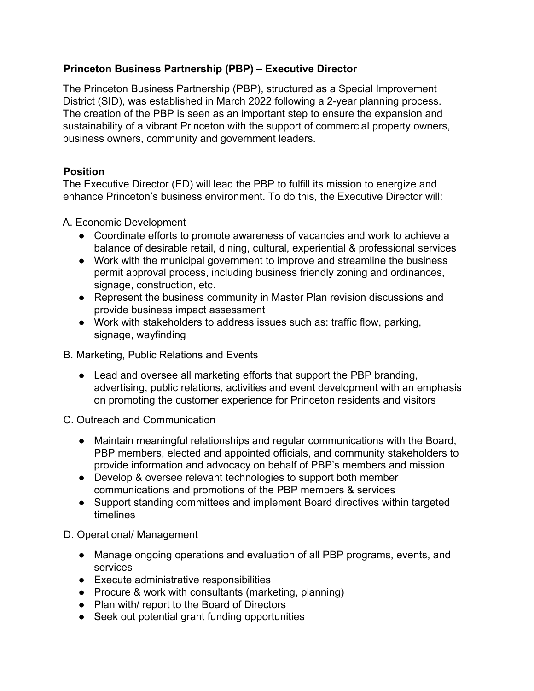## **Princeton Business Partnership (PBP) – Executive Director**

The Princeton Business Partnership (PBP), structured as a Special Improvement District (SID), was established in March 2022 following a 2-year planning process. The creation of the PBP is seen as an important step to ensure the expansion and sustainability of a vibrant Princeton with the support of commercial property owners, business owners, community and government leaders.

# **Position**

The Executive Director (ED) will lead the PBP to fulfill its mission to energize and enhance Princeton's business environment. To do this, the Executive Director will:

## A. Economic Development

- Coordinate efforts to promote awareness of vacancies and work to achieve a balance of desirable retail, dining, cultural, experiential & professional services
- Work with the municipal government to improve and streamline the business permit approval process, including business friendly zoning and ordinances, signage, construction, etc.
- Represent the business community in Master Plan revision discussions and provide business impact assessment
- Work with stakeholders to address issues such as: traffic flow, parking, signage, wayfinding

## B. Marketing, Public Relations and Events

• Lead and oversee all marketing efforts that support the PBP branding, advertising, public relations, activities and event development with an emphasis on promoting the customer experience for Princeton residents and visitors

C. Outreach and Communication

- Maintain meaningful relationships and regular communications with the Board, PBP members, elected and appointed officials, and community stakeholders to provide information and advocacy on behalf of PBP's members and mission
- Develop & oversee relevant technologies to support both member communications and promotions of the PBP members & services
- Support standing committees and implement Board directives within targeted timelines

# D. Operational/ Management

- Manage ongoing operations and evaluation of all PBP programs, events, and services
- Execute administrative responsibilities
- Procure & work with consultants (marketing, planning)
- Plan with/ report to the Board of Directors
- Seek out potential grant funding opportunities